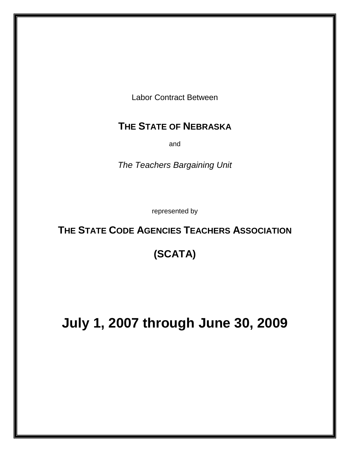Labor Contract Between

# **THE STATE OF NEBRASKA**

and

*The Teachers Bargaining Unit* 

represented by

# **THE STATE CODE AGENCIES TEACHERS ASSOCIATION**

# **(SCATA)**

# **July 1, 2007 through June 30, 2009**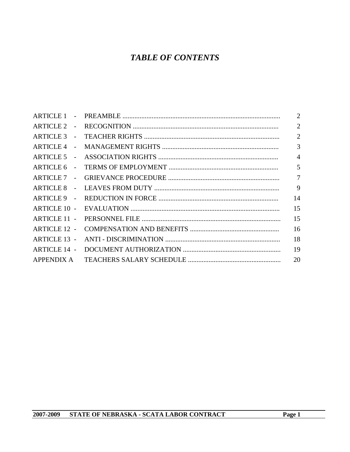# **TABLE OF CONTENTS**

|                                                                                                                                     | $\overline{2}$                                                                            |
|-------------------------------------------------------------------------------------------------------------------------------------|-------------------------------------------------------------------------------------------|
|                                                                                                                                     | $\overline{2}$                                                                            |
|                                                                                                                                     | $\overline{2}$                                                                            |
|                                                                                                                                     | 3                                                                                         |
|                                                                                                                                     | $\overline{4}$                                                                            |
|                                                                                                                                     | 5                                                                                         |
|                                                                                                                                     | $\overline{7}$                                                                            |
|                                                                                                                                     | 9                                                                                         |
|                                                                                                                                     | 14                                                                                        |
|                                                                                                                                     | 15                                                                                        |
|                                                                                                                                     | 15                                                                                        |
|                                                                                                                                     | 16                                                                                        |
|                                                                                                                                     | 18                                                                                        |
|                                                                                                                                     | 19                                                                                        |
|                                                                                                                                     | 20                                                                                        |
| $\sim$<br>$\sim$<br><b>ARTICLE 10 -</b><br><b>ARTICLE 11 -</b><br><b>ARTICLE 12 -</b><br><b>ARTICLE 13 -</b><br><b>ARTICLE 14 -</b> | ARTICLE 1 -<br>$\sim$<br>$\sim$<br>$\sim$<br>$\overline{a}$<br>ARTICLE 8 -<br>ARTICLE 9 - |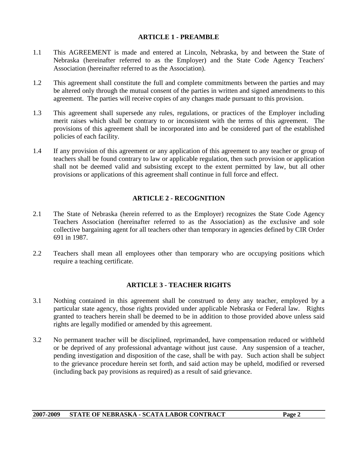#### **ARTICLE 1 - PREAMBLE**

- 1.1 This AGREEMENT is made and entered at Lincoln, Nebraska, by and between the State of Nebraska (hereinafter referred to as the Employer) and the State Code Agency Teachers' Association (hereinafter referred to as the Association).
- 1.2 This agreement shall constitute the full and complete commitments between the parties and may be altered only through the mutual consent of the parties in written and signed amendments to this agreement. The parties will receive copies of any changes made pursuant to this provision.
- 1.3 This agreement shall supersede any rules, regulations, or practices of the Employer including merit raises which shall be contrary to or inconsistent with the terms of this agreement. The provisions of this agreement shall be incorporated into and be considered part of the established policies of each facility.
- 1.4 If any provision of this agreement or any application of this agreement to any teacher or group of teachers shall be found contrary to law or applicable regulation, then such provision or application shall not be deemed valid and subsisting except to the extent permitted by law, but all other provisions or applications of this agreement shall continue in full force and effect.

# **ARTICLE 2 - RECOGNITION**

- 2.1 The State of Nebraska (herein referred to as the Employer) recognizes the State Code Agency Teachers Association (hereinafter referred to as the Association) as the exclusive and sole collective bargaining agent for all teachers other than temporary in agencies defined by CIR Order 691 in 1987.
- 2.2 Teachers shall mean all employees other than temporary who are occupying positions which require a teaching certificate.

# **ARTICLE 3 - TEACHER RIGHTS**

- 3.1 Nothing contained in this agreement shall be construed to deny any teacher, employed by a particular state agency, those rights provided under applicable Nebraska or Federal law. Rights granted to teachers herein shall be deemed to be in addition to those provided above unless said rights are legally modified or amended by this agreement.
- 3.2 No permanent teacher will be disciplined, reprimanded, have compensation reduced or withheld or be deprived of any professional advantage without just cause. Any suspension of a teacher, pending investigation and disposition of the case, shall be with pay. Such action shall be subject to the grievance procedure herein set forth, and said action may be upheld, modified or reversed (including back pay provisions as required) as a result of said grievance.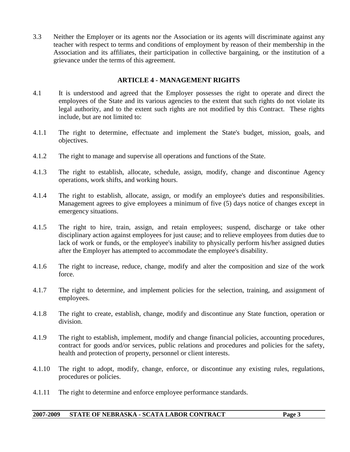3.3 Neither the Employer or its agents nor the Association or its agents will discriminate against any teacher with respect to terms and conditions of employment by reason of their membership in the Association and its affiliates, their participation in collective bargaining, or the institution of a grievance under the terms of this agreement.

# **ARTICLE 4 - MANAGEMENT RIGHTS**

- 4.1 It is understood and agreed that the Employer possesses the right to operate and direct the employees of the State and its various agencies to the extent that such rights do not violate its legal authority, and to the extent such rights are not modified by this Contract. These rights include, but are not limited to:
- 4.1.1 The right to determine, effectuate and implement the State's budget, mission, goals, and objectives.
- 4.1.2 The right to manage and supervise all operations and functions of the State.
- 4.1.3 The right to establish, allocate, schedule, assign, modify, change and discontinue Agency operations, work shifts, and working hours.
- 4.1.4 The right to establish, allocate, assign, or modify an employee's duties and responsibilities. Management agrees to give employees a minimum of five (5) days notice of changes except in emergency situations.
- 4.1.5 The right to hire, train, assign, and retain employees; suspend, discharge or take other disciplinary action against employees for just cause; and to relieve employees from duties due to lack of work or funds, or the employee's inability to physically perform his/her assigned duties after the Employer has attempted to accommodate the employee's disability.
- 4.1.6 The right to increase, reduce, change, modify and alter the composition and size of the work force.
- 4.1.7 The right to determine, and implement policies for the selection, training, and assignment of employees.
- 4.1.8 The right to create, establish, change, modify and discontinue any State function, operation or division.
- 4.1.9 The right to establish, implement, modify and change financial policies, accounting procedures, contract for goods and/or services, public relations and procedures and policies for the safety, health and protection of property, personnel or client interests.
- 4.1.10 The right to adopt, modify, change, enforce, or discontinue any existing rules, regulations, procedures or policies.
- 4.1.11 The right to determine and enforce employee performance standards.

#### **2007-2009 STATE OF NEBRASKA - SCATA LABOR CONTRACT Page 3**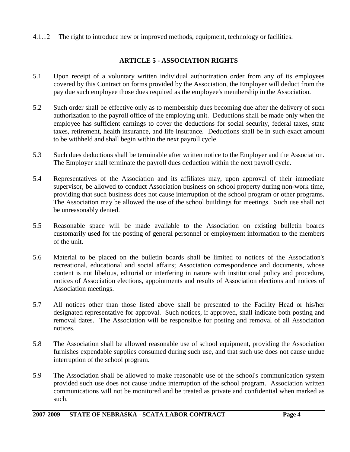4.1.12 The right to introduce new or improved methods, equipment, technology or facilities.

# **ARTICLE 5 - ASSOCIATION RIGHTS**

- 5.1 Upon receipt of a voluntary written individual authorization order from any of its employees covered by this Contract on forms provided by the Association, the Employer will deduct from the pay due such employee those dues required as the employee's membership in the Association.
- 5.2 Such order shall be effective only as to membership dues becoming due after the delivery of such authorization to the payroll office of the employing unit. Deductions shall be made only when the employee has sufficient earnings to cover the deductions for social security, federal taxes, state taxes, retirement, health insurance, and life insurance. Deductions shall be in such exact amount to be withheld and shall begin within the next payroll cycle.
- 5.3 Such dues deductions shall be terminable after written notice to the Employer and the Association. The Employer shall terminate the payroll dues deduction within the next payroll cycle.
- 5.4 Representatives of the Association and its affiliates may, upon approval of their immediate supervisor, be allowed to conduct Association business on school property during non-work time, providing that such business does not cause interruption of the school program or other programs. The Association may be allowed the use of the school buildings for meetings. Such use shall not be unreasonably denied.
- 5.5 Reasonable space will be made available to the Association on existing bulletin boards customarily used for the posting of general personnel or employment information to the members of the unit.
- 5.6 Material to be placed on the bulletin boards shall be limited to notices of the Association's recreational, educational and social affairs; Association correspondence and documents, whose content is not libelous, editorial or interfering in nature with institutional policy and procedure, notices of Association elections, appointments and results of Association elections and notices of Association meetings.
- 5.7 All notices other than those listed above shall be presented to the Facility Head or his/her designated representative for approval. Such notices, if approved, shall indicate both posting and removal dates. The Association will be responsible for posting and removal of all Association notices.
- 5.8 The Association shall be allowed reasonable use of school equipment, providing the Association furnishes expendable supplies consumed during such use, and that such use does not cause undue interruption of the school program.
- 5.9 The Association shall be allowed to make reasonable use of the school's communication system provided such use does not cause undue interruption of the school program. Association written communications will not be monitored and be treated as private and confidential when marked as such.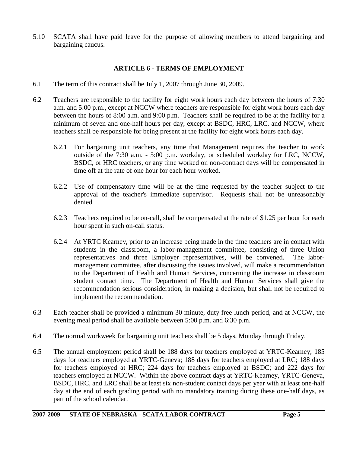5.10 SCATA shall have paid leave for the purpose of allowing members to attend bargaining and bargaining caucus.

## **ARTICLE 6 - TERMS OF EMPLOYMENT**

- 6.1 The term of this contract shall be July 1, 2007 through June 30, 2009.
- 6.2 Teachers are responsible to the facility for eight work hours each day between the hours of 7:30 a.m. and 5:00 p.m., except at NCCW where teachers are responsible for eight work hours each day between the hours of 8:00 a.m. and 9:00 p.m. Teachers shall be required to be at the facility for a minimum of seven and one-half hours per day, except at BSDC, HRC, LRC, and NCCW, where teachers shall be responsible for being present at the facility for eight work hours each day.
	- 6.2.1 For bargaining unit teachers, any time that Management requires the teacher to work outside of the 7:30 a.m. - 5:00 p.m. workday, or scheduled workday for LRC, NCCW, BSDC, or HRC teachers, or any time worked on non-contract days will be compensated in time off at the rate of one hour for each hour worked.
	- 6.2.2 Use of compensatory time will be at the time requested by the teacher subject to the approval of the teacher's immediate supervisor. Requests shall not be unreasonably denied.
	- 6.2.3 Teachers required to be on-call, shall be compensated at the rate of \$1.25 per hour for each hour spent in such on-call status.
	- 6.2.4 At YRTC Kearney, prior to an increase being made in the time teachers are in contact with students in the classroom, a labor-management committee, consisting of three Union representatives and three Employer representatives, will be convened. The labormanagement committee, after discussing the issues involved, will make a recommendation to the Department of Health and Human Services, concerning the increase in classroom student contact time. The Department of Health and Human Services shall give the recommendation serious consideration, in making a decision, but shall not be required to implement the recommendation.
- 6.3 Each teacher shall be provided a minimum 30 minute, duty free lunch period, and at NCCW, the evening meal period shall be available between 5:00 p.m. and 6:30 p.m.
- 6.4 The normal workweek for bargaining unit teachers shall be 5 days, Monday through Friday.
- 6.5 The annual employment period shall be 188 days for teachers employed at YRTC-Kearney; 185 days for teachers employed at YRTC-Geneva; 188 days for teachers employed at LRC; 188 days for teachers employed at HRC; 224 days for teachers employed at BSDC; and 222 days for teachers employed at NCCW. Within the above contract days at YRTC-Kearney, YRTC-Geneva, BSDC, HRC, and LRC shall be at least six non-student contact days per year with at least one-half day at the end of each grading period with no mandatory training during these one-half days, as part of the school calendar.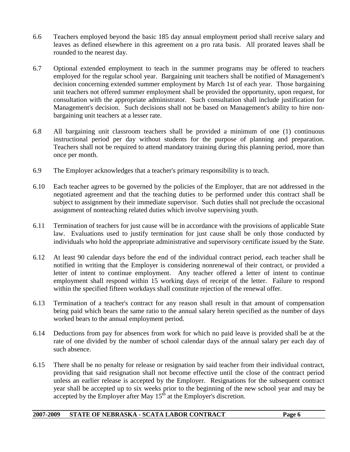- 6.6 Teachers employed beyond the basic 185 day annual employment period shall receive salary and leaves as defined elsewhere in this agreement on a pro rata basis. All prorated leaves shall be rounded to the nearest day.
- 6.7 Optional extended employment to teach in the summer programs may be offered to teachers employed for the regular school year. Bargaining unit teachers shall be notified of Management's decision concerning extended summer employment by March 1st of each year. Those bargaining unit teachers not offered summer employment shall be provided the opportunity, upon request, for consultation with the appropriate administrator. Such consultation shall include justification for Management's decision. Such decisions shall not be based on Management's ability to hire nonbargaining unit teachers at a lesser rate.
- 6.8 All bargaining unit classroom teachers shall be provided a minimum of one (1) continuous instructional period per day without students for the purpose of planning and preparation. Teachers shall not be required to attend mandatory training during this planning period, more than once per month.
- 6.9 The Employer acknowledges that a teacher's primary responsibility is to teach.
- 6.10 Each teacher agrees to be governed by the policies of the Employer, that are not addressed in the negotiated agreement and that the teaching duties to be performed under this contract shall be subject to assignment by their immediate supervisor. Such duties shall not preclude the occasional assignment of nonteaching related duties which involve supervising youth.
- 6.11 Termination of teachers for just cause will be in accordance with the provisions of applicable State law. Evaluations used to justify termination for just cause shall be only those conducted by individuals who hold the appropriate administrative and supervisory certificate issued by the State.
- 6.12 At least 90 calendar days before the end of the individual contract period, each teacher shall be notified in writing that the Employer is considering nonrenewal of their contract, or provided a letter of intent to continue employment. Any teacher offered a letter of intent to continue employment shall respond within 15 working days of receipt of the letter. Failure to respond within the specified fifteen workdays shall constitute rejection of the renewal offer.
- 6.13 Termination of a teacher's contract for any reason shall result in that amount of compensation being paid which bears the same ratio to the annual salary herein specified as the number of days worked bears to the annual employment period.
- 6.14 Deductions from pay for absences from work for which no paid leave is provided shall be at the rate of one divided by the number of school calendar days of the annual salary per each day of such absence.
- 6.15 There shall be no penalty for release or resignation by said teacher from their individual contract, providing that said resignation shall not become effective until the close of the contract period unless an earlier release is accepted by the Employer. Resignations for the subsequent contract year shall be accepted up to six weeks prior to the beginning of the new school year and may be accepted by the Employer after May  $15<sup>th</sup>$  at the Employer's discretion.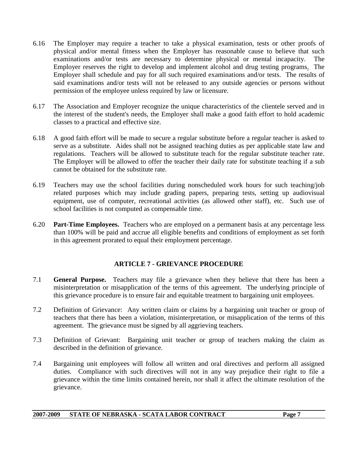- 6.16 The Employer may require a teacher to take a physical examination, tests or other proofs of physical and/or mental fitness when the Employer has reasonable cause to believe that such examinations and/or tests are necessary to determine physical or mental incapacity. The Employer reserves the right to develop and implement alcohol and drug testing programs. The Employer shall schedule and pay for all such required examinations and/or tests. The results of said examinations and/or tests will not be released to any outside agencies or persons without permission of the employee unless required by law or licensure.
- 6.17 The Association and Employer recognize the unique characteristics of the clientele served and in the interest of the student's needs, the Employer shall make a good faith effort to hold academic classes to a practical and effective size.
- 6.18 A good faith effort will be made to secure a regular substitute before a regular teacher is asked to serve as a substitute. Aides shall not be assigned teaching duties as per applicable state law and regulations. Teachers will be allowed to substitute teach for the regular substitute teacher rate. The Employer will be allowed to offer the teacher their daily rate for substitute teaching if a sub cannot be obtained for the substitute rate*.*
- 6.19 Teachers may use the school facilities during nonscheduled work hours for such teaching/job related purposes which may include grading papers, preparing tests, setting up audiovisual equipment, use of computer, recreational activities (as allowed other staff), etc. Such use of school facilities is not computed as compensable time.
- 6.20 **Part-Time Employees.** Teachers who are employed on a permanent basis at any percentage less than 100% will be paid and accrue all eligible benefits and conditions of employment as set forth in this agreement prorated to equal their employment percentage.

# **ARTICLE 7 - GRIEVANCE PROCEDURE**

- 7.1 **General Purpose.** Teachers may file a grievance when they believe that there has been a misinterpretation or misapplication of the terms of this agreement. The underlying principle of this grievance procedure is to ensure fair and equitable treatment to bargaining unit employees.
- 7.2 Definition of Grievance: Any written claim or claims by a bargaining unit teacher or group of teachers that there has been a violation, misinterpretation, or misapplication of the terms of this agreement. The grievance must be signed by all aggrieving teachers.
- 7.3 Definition of Grievant: Bargaining unit teacher or group of teachers making the claim as described in the definition of grievance.
- 7.4 Bargaining unit employees will follow all written and oral directives and perform all assigned duties. Compliance with such directives will not in any way prejudice their right to file a grievance within the time limits contained herein, nor shall it affect the ultimate resolution of the grievance.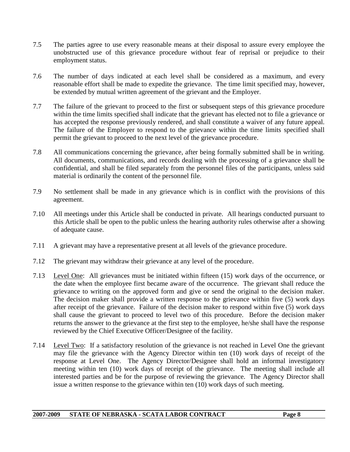- 7.5 The parties agree to use every reasonable means at their disposal to assure every employee the unobstructed use of this grievance procedure without fear of reprisal or prejudice to their employment status.
- 7.6 The number of days indicated at each level shall be considered as a maximum, and every reasonable effort shall be made to expedite the grievance. The time limit specified may, however, be extended by mutual written agreement of the grievant and the Employer.
- 7.7 The failure of the grievant to proceed to the first or subsequent steps of this grievance procedure within the time limits specified shall indicate that the grievant has elected not to file a grievance or has accepted the response previously rendered, and shall constitute a waiver of any future appeal. The failure of the Employer to respond to the grievance within the time limits specified shall permit the grievant to proceed to the next level of the grievance procedure.
- 7.8 All communications concerning the grievance, after being formally submitted shall be in writing. All documents, communications, and records dealing with the processing of a grievance shall be confidential, and shall be filed separately from the personnel files of the participants, unless said material is ordinarily the content of the personnel file.
- 7.9 No settlement shall be made in any grievance which is in conflict with the provisions of this agreement.
- 7.10 All meetings under this Article shall be conducted in private. All hearings conducted pursuant to this Article shall be open to the public unless the hearing authority rules otherwise after a showing of adequate cause.
- 7.11 A grievant may have a representative present at all levels of the grievance procedure.
- 7.12 The grievant may withdraw their grievance at any level of the procedure.
- 7.13 Level One: All grievances must be initiated within fifteen (15) work days of the occurrence, or the date when the employee first became aware of the occurrence. The grievant shall reduce the grievance to writing on the approved form and give or send the original to the decision maker. The decision maker shall provide a written response to the grievance within five (5) work days after receipt of the grievance. Failure of the decision maker to respond within five (5) work days shall cause the grievant to proceed to level two of this procedure. Before the decision maker returns the answer to the grievance at the first step to the employee, he/she shall have the response reviewed by the Chief Executive Officer/Designee of the facility.
- 7.14 Level Two: If a satisfactory resolution of the grievance is not reached in Level One the grievant may file the grievance with the Agency Director within ten (10) work days of receipt of the response at Level One. The Agency Director/Designee shall hold an informal investigatory meeting within ten (10) work days of receipt of the grievance. The meeting shall include all interested parties and be for the purpose of reviewing the grievance. The Agency Director shall issue a written response to the grievance within ten (10) work days of such meeting.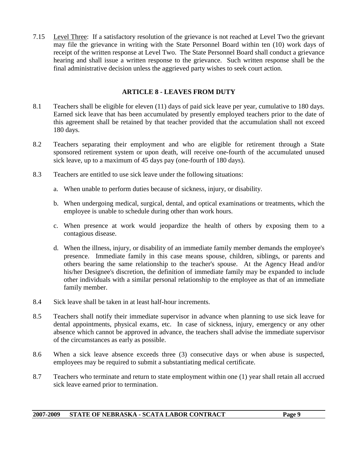7.15 Level Three: If a satisfactory resolution of the grievance is not reached at Level Two the grievant may file the grievance in writing with the State Personnel Board within ten (10) work days of receipt of the written response at Level Two. The State Personnel Board shall conduct a grievance hearing and shall issue a written response to the grievance. Such written response shall be the final administrative decision unless the aggrieved party wishes to seek court action.

## **ARTICLE 8 - LEAVES FROM DUTY**

- 8.1 Teachers shall be eligible for eleven (11) days of paid sick leave per year, cumulative to 180 days. Earned sick leave that has been accumulated by presently employed teachers prior to the date of this agreement shall be retained by that teacher provided that the accumulation shall not exceed 180 days.
- 8.2 Teachers separating their employment and who are eligible for retirement through a State sponsored retirement system or upon death, will receive one-fourth of the accumulated unused sick leave, up to a maximum of 45 days pay (one-fourth of 180 days).
- 8.3 Teachers are entitled to use sick leave under the following situations:
	- a. When unable to perform duties because of sickness, injury, or disability.
	- b. When undergoing medical, surgical, dental, and optical examinations or treatments, which the employee is unable to schedule during other than work hours.
	- c. When presence at work would jeopardize the health of others by exposing them to a contagious disease.
	- d. When the illness, injury, or disability of an immediate family member demands the employee's presence. Immediate family in this case means spouse, children, siblings, or parents and others bearing the same relationship to the teacher's spouse. At the Agency Head and/or his/her Designee's discretion, the definition of immediate family may be expanded to include other individuals with a similar personal relationship to the employee as that of an immediate family member.
- 8.4 Sick leave shall be taken in at least half-hour increments.
- 8.5 Teachers shall notify their immediate supervisor in advance when planning to use sick leave for dental appointments, physical exams, etc. In case of sickness, injury, emergency or any other absence which cannot be approved in advance, the teachers shall advise the immediate supervisor of the circumstances as early as possible.
- 8.6 When a sick leave absence exceeds three (3) consecutive days or when abuse is suspected, employees may be required to submit a substantiating medical certificate.
- 8.7 Teachers who terminate and return to state employment within one (1) year shall retain all accrued sick leave earned prior to termination.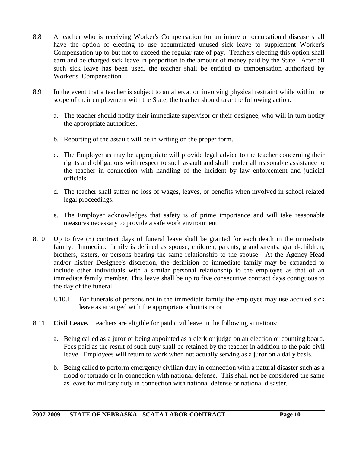- 8.8 A teacher who is receiving Worker's Compensation for an injury or occupational disease shall have the option of electing to use accumulated unused sick leave to supplement Worker's Compensation up to but not to exceed the regular rate of pay. Teachers electing this option shall earn and be charged sick leave in proportion to the amount of money paid by the State. After all such sick leave has been used, the teacher shall be entitled to compensation authorized by Worker's Compensation.
- 8.9 In the event that a teacher is subject to an altercation involving physical restraint while within the scope of their employment with the State, the teacher should take the following action:
	- a. The teacher should notify their immediate supervisor or their designee, who will in turn notify the appropriate authorities.
	- b. Reporting of the assault will be in writing on the proper form.
	- c. The Employer as may be appropriate will provide legal advice to the teacher concerning their rights and obligations with respect to such assault and shall render all reasonable assistance to the teacher in connection with handling of the incident by law enforcement and judicial officials.
	- d. The teacher shall suffer no loss of wages, leaves, or benefits when involved in school related legal proceedings.
	- e. The Employer acknowledges that safety is of prime importance and will take reasonable measures necessary to provide a safe work environment.
- 8.10 Up to five (5) contract days of funeral leave shall be granted for each death in the immediate family. Immediate family is defined as spouse, children, parents, grandparents, grand-children, brothers, sisters, or persons bearing the same relationship to the spouse. At the Agency Head and/or his/her Designee's discretion, the definition of immediate family may be expanded to include other individuals with a similar personal relationship to the employee as that of an immediate family member. This leave shall be up to five consecutive contract days contiguous to the day of the funeral.
	- 8.10.1 For funerals of persons not in the immediate family the employee may use accrued sick leave as arranged with the appropriate administrator.
- 8.11 **Civil Leave.** Teachers are eligible for paid civil leave in the following situations:
	- a. Being called as a juror or being appointed as a clerk or judge on an election or counting board. Fees paid as the result of such duty shall be retained by the teacher in addition to the paid civil leave. Employees will return to work when not actually serving as a juror on a daily basis.
	- b. Being called to perform emergency civilian duty in connection with a natural disaster such as a flood or tornado or in connection with national defense. This shall not be considered the same as leave for military duty in connection with national defense or national disaster.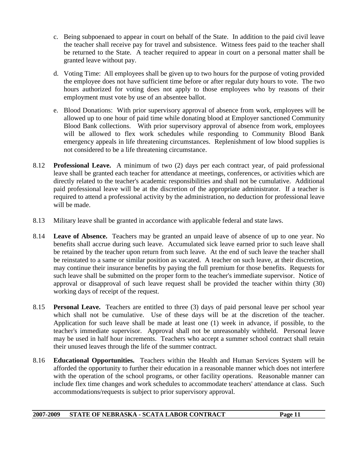- c. Being subpoenaed to appear in court on behalf of the State. In addition to the paid civil leave the teacher shall receive pay for travel and subsistence. Witness fees paid to the teacher shall be returned to the State. A teacher required to appear in court on a personal matter shall be granted leave without pay.
- d. Voting Time: All employees shall be given up to two hours for the purpose of voting provided the employee does not have sufficient time before or after regular duty hours to vote. The two hours authorized for voting does not apply to those employees who by reasons of their employment must vote by use of an absentee ballot.
- e. Blood Donations: With prior supervisory approval of absence from work, employees will be allowed up to one hour of paid time while donating blood at Employer sanctioned Community Blood Bank collections. With prior supervisory approval of absence from work, employees will be allowed to flex work schedules while responding to Community Blood Bank emergency appeals in life threatening circumstances. Replenishment of low blood supplies is not considered to be a life threatening circumstance.
- 8.12 **Professional Leave.** A minimum of two (2) days per each contract year, of paid professional leave shall be granted each teacher for attendance at meetings, conferences, or activities which are directly related to the teacher's academic responsibilities and shall not be cumulative. Additional paid professional leave will be at the discretion of the appropriate administrator. If a teacher is required to attend a professional activity by the administration, no deduction for professional leave will be made.
- 8.13 Military leave shall be granted in accordance with applicable federal and state laws.
- 8.14 **Leave of Absence.** Teachers may be granted an unpaid leave of absence of up to one year. No benefits shall accrue during such leave. Accumulated sick leave earned prior to such leave shall be retained by the teacher upon return from such leave. At the end of such leave the teacher shall be reinstated to a same or similar position as vacated. A teacher on such leave, at their discretion, may continue their insurance benefits by paying the full premium for those benefits. Requests for such leave shall be submitted on the proper form to the teacher's immediate supervisor. Notice of approval or disapproval of such leave request shall be provided the teacher within thirty (30) working days of receipt of the request.
- 8.15 **Personal Leave.** Teachers are entitled to three (3) days of paid personal leave per school year which shall not be cumulative. Use of these days will be at the discretion of the teacher. Application for such leave shall be made at least one (1) week in advance, if possible, to the teacher's immediate supervisor. Approval shall not be unreasonably withheld. Personal leave may be used in half hour increments. Teachers who accept a summer school contract shall retain their unused leaves through the life of the summer contract.
- 8.16 **Educational Opportunities.** Teachers within the Health and Human Services System will be afforded the opportunity to further their education in a reasonable manner which does not interfere with the operation of the school programs, or other facility operations. Reasonable manner can include flex time changes and work schedules to accommodate teachers' attendance at class. Such accommodations/requests is subject to prior supervisory approval.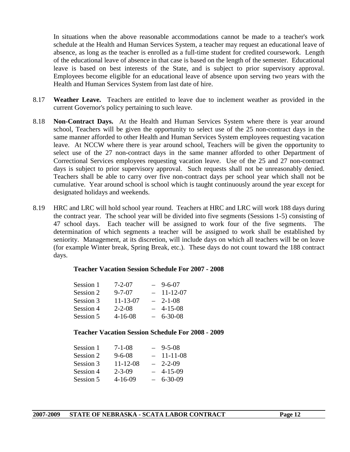In situations when the above reasonable accommodations cannot be made to a teacher's work schedule at the Health and Human Services System, a teacher may request an educational leave of absence, as long as the teacher is enrolled as a full-time student for credited coursework. Length of the educational leave of absence in that case is based on the length of the semester. Educational leave is based on best interests of the State, and is subject to prior supervisory approval. Employees become eligible for an educational leave of absence upon serving two years with the Health and Human Services System from last date of hire.

- 8.17 **Weather Leave.** Teachers are entitled to leave due to inclement weather as provided in the current Governor's policy pertaining to such leave.
- 8.18 **Non-Contract Days.** At the Health and Human Services System where there is year around school, Teachers will be given the opportunity to select use of the 25 non-contract days in the same manner afforded to other Health and Human Services System employees requesting vacation leave. At NCCW where there is year around school, Teachers will be given the opportunity to select use of the 27 non-contract days in the same manner afforded to other Department of Correctional Services employees requesting vacation leave. Use of the 25 and 27 non-contract days is subject to prior supervisory approval. Such requests shall not be unreasonably denied. Teachers shall be able to carry over five non-contract days per school year which shall not be cumulative. Year around school is school which is taught continuously around the year except for designated holidays and weekends.
- 8.19 HRC and LRC will hold school year round. Teachers at HRC and LRC will work 188 days during the contract year. The school year will be divided into five segments (Sessions 1-5) consisting of 47 school days. Each teacher will be assigned to work four of the five segments. The determination of which segments a teacher will be assigned to work shall be established by seniority. Management, at its discretion, will include days on which all teachers will be on leave (for example Winter break, Spring Break, etc.). These days do not count toward the 188 contract days.

#### **Teacher Vacation Session Schedule For 2007 - 2008**

| $7 - 2 - 07$   | $9 - 6 - 07$  |
|----------------|---------------|
| $9 - 7 - 07$   | $-11-12-07$   |
| $11 - 13 - 07$ | $-2-1-08$     |
| $2 - 2 - 08$   | $4 - 15 - 08$ |
| $4 - 16 - 08$  | $6 - 30 - 08$ |
|                |               |

#### **Teacher Vacation Session Schedule For 2008 - 2009**

| Session 1 | 7-1-08         | $9 - 5 - 08$  |
|-----------|----------------|---------------|
| Session 2 | $9 - 6 - 08$   | $-11-11-08$   |
| Session 3 | $11 - 12 - 08$ | $-2-2-09$     |
| Session 4 | $2 - 3 - 09$   | $-4-15-09$    |
| Session 5 | $4 - 16 - 09$  | $6 - 30 - 09$ |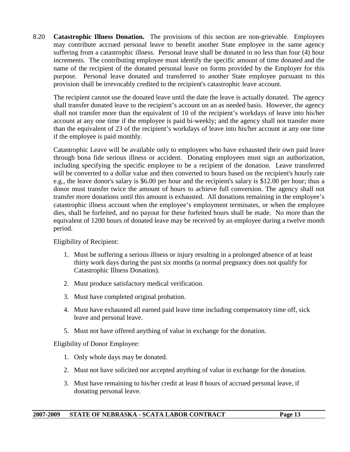8.20 **Catastrophic Illness Donation.** The provisions of this section are non-grievable. Employees may contribute accrued personal leave to benefit another State employee in the same agency suffering from a catastrophic illness. Personal leave shall be donated in no less than four (4) hour increments. The contributing employee must identify the specific amount of time donated and the name of the recipient of the donated personal leave on forms provided by the Employer for this purpose. Personal leave donated and transferred to another State employee pursuant to this provision shall be irrevocably credited to the recipient's catastrophic leave account.

 The recipient cannot use the donated leave until the date the leave is actually donated. The agency shall transfer donated leave to the recipient's account on an as needed basis. However, the agency shall not transfer more than the equivalent of 10 of the recipient's workdays of leave into his/her account at any one time if the employee is paid bi-weekly; and the agency shall not transfer more than the equivalent of 23 of the recipient's workdays of leave into his/her account at any one time if the employee is paid monthly.

 Catastrophic Leave will be available only to employees who have exhausted their own paid leave through bona fide serious illness or accident. Donating employees must sign an authorization, including specifying the specific employee to be a recipient of the donation. Leave transferred will be converted to a dollar value and then converted to hours based on the recipient's hourly rate e.g., the leave donor's salary is \$6.00 per hour and the recipient's salary is \$12.00 per hour; thus a donor must transfer twice the amount of hours to achieve full conversion. The agency shall not transfer more donations until this amount is exhausted. All donations remaining in the employee's catastrophic illness account when the employee's employment terminates, or when the employee dies, shall be forfeited, and no payout for these forfeited hours shall be made. No more than the equivalent of 1200 hours of donated leave may be received by an employee during a twelve month period.

Eligibility of Recipient:

- 1. Must be suffering a serious illness or injury resulting in a prolonged absence of at least thirty work days during the past six months (a normal pregnancy does not qualify for Catastrophic Illness Donation).
- 2. Must produce satisfactory medical verification.
- 3. Must have completed original probation.
- 4. Must have exhausted all earned paid leave time including compensatory time off, sick leave and personal leave.
- 5. Must not have offered anything of value in exchange for the donation.

Eligibility of Donor Employee:

- 1. Only whole days may be donated.
- 2. Must not have solicited nor accepted anything of value in exchange for the donation.
- 3. Must have remaining to his/her credit at least 8 hours of accrued personal leave, if donating personal leave.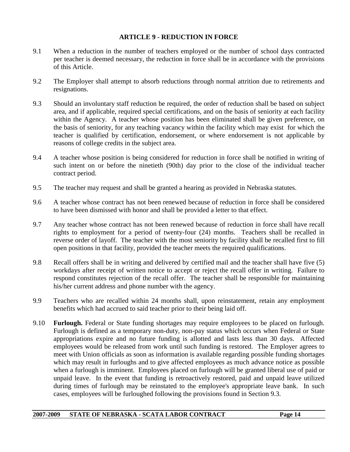### **ARTICLE 9 - REDUCTION IN FORCE**

- 9.1 When a reduction in the number of teachers employed or the number of school days contracted per teacher is deemed necessary, the reduction in force shall be in accordance with the provisions of this Article.
- 9.2 The Employer shall attempt to absorb reductions through normal attrition due to retirements and resignations.
- 9.3 Should an involuntary staff reduction be required, the order of reduction shall be based on subject area, and if applicable, required special certifications, and on the basis of seniority at each facility within the Agency. A teacher whose position has been eliminated shall be given preference, on the basis of seniority, for any teaching vacancy within the facility which may exist for which the teacher is qualified by certification, endorsement, or where endorsement is not applicable by reasons of college credits in the subject area.
- 9.4 A teacher whose position is being considered for reduction in force shall be notified in writing of such intent on or before the ninetieth (90th) day prior to the close of the individual teacher contract period.
- 9.5 The teacher may request and shall be granted a hearing as provided in Nebraska statutes.
- 9.6 A teacher whose contract has not been renewed because of reduction in force shall be considered to have been dismissed with honor and shall be provided a letter to that effect.
- 9.7 Any teacher whose contract has not been renewed because of reduction in force shall have recall rights to employment for a period of twenty-four (24) months. Teachers shall be recalled in reverse order of layoff. The teacher with the most seniority by facility shall be recalled first to fill open positions in that facility, provided the teacher meets the required qualifications.
- 9.8 Recall offers shall be in writing and delivered by certified mail and the teacher shall have five (5) workdays after receipt of written notice to accept or reject the recall offer in writing. Failure to respond constitutes rejection of the recall offer. The teacher shall be responsible for maintaining his/her current address and phone number with the agency.
- 9.9 Teachers who are recalled within 24 months shall, upon reinstatement, retain any employment benefits which had accrued to said teacher prior to their being laid off.
- 9.10 **Furlough.** Federal or State funding shortages may require employees to be placed on furlough. Furlough is defined as a temporary non-duty, non-pay status which occurs when Federal or State appropriations expire and no future funding is allotted and lasts less than 30 days. Affected employees would be released from work until such funding is restored. The Employer agrees to meet with Union officials as soon as information is available regarding possible funding shortages which may result in furloughs and to give affected employees as much advance notice as possible when a furlough is imminent. Employees placed on furlough will be granted liberal use of paid or unpaid leave. In the event that funding is retroactively restored, paid and unpaid leave utilized during times of furlough may be reinstated to the employee's appropriate leave bank. In such cases, employees will be furloughed following the provisions found in Section 9.3.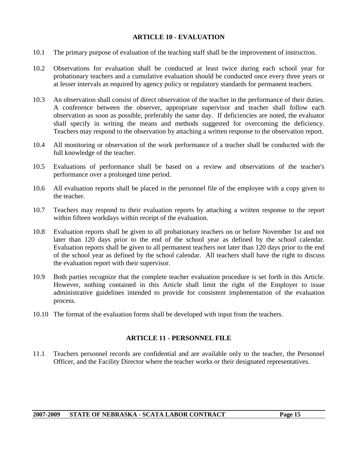#### **ARTICLE 10 - EVALUATION**

- 10.1 The primary purpose of evaluation of the teaching staff shall be the improvement of instruction.
- 10.2 Observations for evaluation shall be conducted at least twice during each school year for probationary teachers and a cumulative evaluation should be conducted once every three years or at lesser intervals as required by agency policy or regulatory standards for permanent teachers.
- 10.3 An observation shall consist of direct observation of the teacher in the performance of their duties. A conference between the observer, appropriate supervisor and teacher shall follow each observation as soon as possible, preferably the same day. If deficiencies are noted, the evaluator shall specify in writing the means and methods suggested for overcoming the deficiency. Teachers may respond to the observation by attaching a written response to the observation report.
- 10.4 All monitoring or observation of the work performance of a teacher shall be conducted with the full knowledge of the teacher.
- 10.5 Evaluations of performance shall be based on a review and observations of the teacher's performance over a prolonged time period.
- 10.6 All evaluation reports shall be placed in the personnel file of the employee with a copy given to the teacher.
- 10.7 Teachers may respond to their evaluation reports by attaching a written response to the report within fifteen workdays within receipt of the evaluation.
- 10.8 Evaluation reports shall be given to all probationary teachers on or before November 1st and not later than 120 days prior to the end of the school year as defined by the school calendar. Evaluation reports shall be given to all permanent teachers not later than 120 days prior to the end of the school year as defined by the school calendar. All teachers shall have the right to discuss the evaluation report with their supervisor.
- 10.9 Both parties recognize that the complete teacher evaluation procedure is set forth in this Article. However, nothing contained in this Article shall limit the right of the Employer to issue administrative guidelines intended to provide for consistent implementation of the evaluation process.
- 10.10 The format of the evaluation forms shall be developed with input from the teachers.

#### **ARTICLE 11 - PERSONNEL FILE**

11.1 Teachers personnel records are confidential and are available only to the teacher, the Personnel Officer, and the Facility Director where the teacher works or their designated representatives.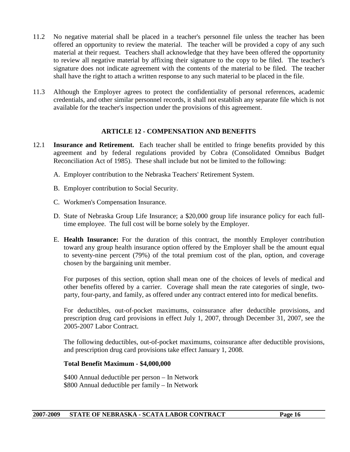- 11.2 No negative material shall be placed in a teacher's personnel file unless the teacher has been offered an opportunity to review the material. The teacher will be provided a copy of any such material at their request. Teachers shall acknowledge that they have been offered the opportunity to review all negative material by affixing their signature to the copy to be filed. The teacher's signature does not indicate agreement with the contents of the material to be filed. The teacher shall have the right to attach a written response to any such material to be placed in the file.
- 11.3 Although the Employer agrees to protect the confidentiality of personal references, academic credentials, and other similar personnel records, it shall not establish any separate file which is not available for the teacher's inspection under the provisions of this agreement.

#### **ARTICLE 12 - COMPENSATION AND BENEFITS**

- 12.1 **Insurance and Retirement.** Each teacher shall be entitled to fringe benefits provided by this agreement and by federal regulations provided by Cobra (Consolidated Omnibus Budget Reconciliation Act of 1985). These shall include but not be limited to the following:
	- A. Employer contribution to the Nebraska Teachers' Retirement System.
	- B. Employer contribution to Social Security.
	- C. Workmen's Compensation Insurance.
	- D. State of Nebraska Group Life Insurance; a \$20,000 group life insurance policy for each fulltime employee. The full cost will be borne solely by the Employer.
	- E. **Health Insurance:** For the duration of this contract, the monthly Employer contribution toward any group health insurance option offered by the Employer shall be the amount equal to seventy-nine percent (79%) of the total premium cost of the plan, option, and coverage chosen by the bargaining unit member.

 For purposes of this section, option shall mean one of the choices of levels of medical and other benefits offered by a carrier. Coverage shall mean the rate categories of single, twoparty, four-party, and family, as offered under any contract entered into for medical benefits.

 For deductibles, out-of-pocket maximums, coinsurance after deductible provisions, and prescription drug card provisions in effect July 1, 2007, through December 31, 2007, see the 2005-2007 Labor Contract.

 The following deductibles, out-of-pocket maximums, coinsurance after deductible provisions, and prescription drug card provisions take effect January 1, 2008.

#### **Total Benefit Maximum - \$4,000,000**

\$400 Annual deductible per person – In Network \$800 Annual deductible per family – In Network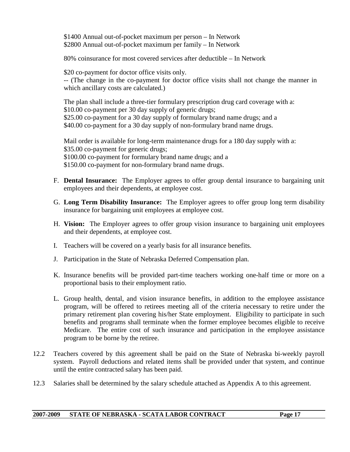\$1400 Annual out-of-pocket maximum per person – In Network \$2800 Annual out-of-pocket maximum per family – In Network

80% coinsurance for most covered services after deductible – In Network

\$20 co-payment for doctor office visits only.

-- (The change in the co-payment for doctor office visits shall not change the manner in which ancillary costs are calculated.)

 The plan shall include a three-tier formulary prescription drug card coverage with a: \$10.00 co-payment per 30 day supply of generic drugs; \$25.00 co-payment for a 30 day supply of formulary brand name drugs; and a \$40.00 co-payment for a 30 day supply of non-formulary brand name drugs.

Mail order is available for long-term maintenance drugs for a 180 day supply with a: \$35.00 co-payment for generic drugs; \$100.00 co-payment for formulary brand name drugs; and a \$150.00 co-payment for non-formulary brand name drugs.

- F. **Dental Insurance:** The Employer agrees to offer group dental insurance to bargaining unit employees and their dependents, at employee cost.
- G. **Long Term Disability Insurance:** The Employer agrees to offer group long term disability insurance for bargaining unit employees at employee cost.
- H. **Vision:** The Employer agrees to offer group vision insurance to bargaining unit employees and their dependents, at employee cost.
- I. Teachers will be covered on a yearly basis for all insurance benefits.
- J. Participation in the State of Nebraska Deferred Compensation plan.
- K. Insurance benefits will be provided part-time teachers working one-half time or more on a proportional basis to their employment ratio.
- L. Group health, dental, and vision insurance benefits, in addition to the employee assistance program, will be offered to retirees meeting all of the criteria necessary to retire under the primary retirement plan covering his/her State employment. Eligibility to participate in such benefits and programs shall terminate when the former employee becomes eligible to receive Medicare. The entire cost of such insurance and participation in the employee assistance program to be borne by the retiree.
- 12.2 Teachers covered by this agreement shall be paid on the State of Nebraska bi-weekly payroll system. Payroll deductions and related items shall be provided under that system, and continue until the entire contracted salary has been paid.
- 12.3 Salaries shall be determined by the salary schedule attached as Appendix A to this agreement.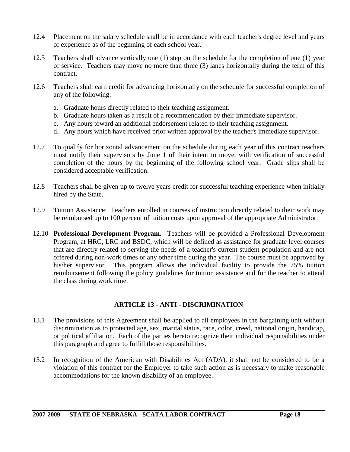- 12.4 Placement on the salary schedule shall be in accordance with each teacher's degree level and years of experience as of the beginning of each school year.
- 12.5 Teachers shall advance vertically one (1) step on the schedule for the completion of one (1) year of service. Teachers may move no more than three (3) lanes horizontally during the term of this contract.
- 12.6 Teachers shall earn credit for advancing horizontally on the schedule for successful completion of any of the following:
	- a. Graduate hours directly related to their teaching assignment.
	- b. Graduate hours taken as a result of a recommendation by their immediate supervisor.
	- c. Any hours toward an additional endorsement related to their teaching assignment.
	- d. Any hours which have received prior written approval by the teacher's immediate supervisor.
- 12.7 To qualify for horizontal advancement on the schedule during each year of this contract teachers must notify their supervisors by June 1 of their intent to move, with verification of successful completion of the hours by the beginning of the following school year. Grade slips shall be considered acceptable verification.
- 12.8 Teachers shall be given up to twelve years credit for successful teaching experience when initially hired by the State.
- 12.9 Tuition Assistance: Teachers enrolled in courses of instruction directly related to their work may be reimbursed up to 100 percent of tuition costs upon approval of the appropriate Administrator.
- 12.10 **Professional Development Program.** Teachers will be provided a Professional Development Program, at HRC, LRC and BSDC, which will be defined as assistance for graduate level courses that are directly related to serving the needs of a teacher's current student population and are not offered during non-work times or any other time during the year. The course must be approved by his/her supervisor. This program allows the individual facility to provide the 75% tuition reimbursement following the policy guidelines for tuition assistance and for the teacher to attend the class during work time.

# **ARTICLE 13 - ANTI - DISCRIMINATION**

- 13.1 The provisions of this Agreement shall be applied to all employees in the bargaining unit without discrimination as to protected age, sex, marital status, race, color, creed, national origin, handicap, or political affiliation. Each of the parties hereto recognize their individual responsibilities under this paragraph and agree to fulfill those responsibilities.
- 13.2 In recognition of the American with Disabilities Act (ADA), it shall not be considered to be a violation of this contract for the Employer to take such action as is necessary to make reasonable accommodations for the known disability of an employee.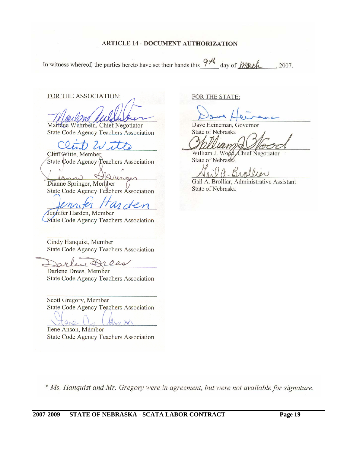In witness whereof, the parties hereto have set their hands this  $9H_4$  day of *Manch*, 2007.

FOR THE ASSOCIATION:

Marlene Wehrbein, Chief Negotiator State Code Agency Teachers Association

Clint Witte, Member State Code Agency Teachers Association

 $\mathbb{A}\mathbb{C}$ ranni renves Dianne Springer, Member State Code Agency Teachers Association

miter Tarden

Jennifer Harden, Member State Code Agency Teachers Association

Cindy Hanquist, Member State Code Agency Teachers Association

lene Drees

 $Q_{AD}$ 

Darlene Drees, Member State Code Agency Teachers Association

Scott Gregory, Member State Code Agency Teachers Association

Ilene Anson, Member State Code Agency Teachers Association FOR THE STATE:

Dave Heineman, Governor State of Nebraska

William J. Wood, Chief Negotiator State of Nebraska

Gail A. Brolliar, Administrative Assistant State of Nebraska

\* Ms. Hanquist and Mr. Gregory were in agreement, but were not available for signature.

 $281$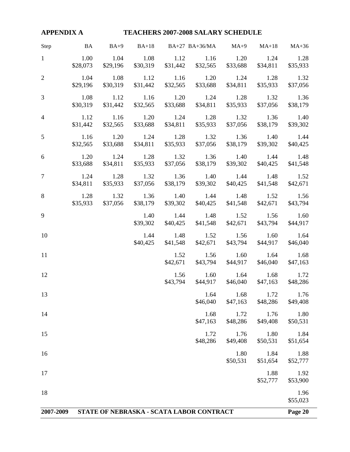|                | APPENDIX A TEACHERS 2007-2008 SALARY SCHEDULE |                  |                  |                                  |                                                             |                                    |                  |                       |
|----------------|-----------------------------------------------|------------------|------------------|----------------------------------|-------------------------------------------------------------|------------------------------------|------------------|-----------------------|
| Step           | <b>BA</b>                                     |                  |                  |                                  | BA+9 BA+18 BA+27 BA+36/MA MA+9 MA+18 MA+36                  |                                    |                  |                       |
| 1              | 1.00<br>\$28,073                              | 1.04<br>\$29,196 | 1.08             |                                  | $1.12$ $1.16$ $1.20$<br>\$30,319 \$31,442 \$32,565 \$33,688 |                                    | 1.24<br>\$34,811 | 1.28<br>\$35,933      |
| $\overline{2}$ | 1.04<br>\$29,196                              | 1.08<br>\$30,319 | \$31,442         |                                  | $1.12$ $1.16$ $1.20$ $1.24$<br>\$32,565 \$33,688 \$34,811   |                                    | 1.28<br>\$35,933 | 1.32<br>\$37,056      |
| 3              | 1.08<br>\$30,319                              | \$31,442         | \$32,565         | \$33,688                         | 1.12 1.16 1.20 1.24 1.28 1.32                               | \$34,811 \$35,933                  | \$37,056         | 1.36<br>\$38,179      |
| $\overline{4}$ | 1.12<br>\$31,442                              | 1.16<br>\$32,565 | \$33,688         | \$34,811                         | 1.20 1.24 1.28 1.32 1.36<br>\$35,933                        | \$37,056                           | \$38,179         | 1.40<br>\$39,302      |
| 5              | 1.16<br>\$32,565                              | 1.20<br>\$33,688 | \$34,811         | \$35,933                         | 1.24 1.28 1.32 1.36<br>\$37,056                             | \$38,179                           | \$39,302         | 1.40 1.44<br>\$40,425 |
| 6              | 1.20<br>\$33,688                              | 1.24<br>\$34,811 | \$35,933         | \$37,056                         | 1.28 1.32 1.36 1.40<br>\$38,179                             | \$39,302                           | \$40,425         | 1.44 1.48<br>\$41,548 |
| $\tau$         | 1.24<br>\$34,811                              | \$35,933         | \$37,056         | \$38,179                         | 1.28 1.32 1.36 1.40 1.44                                    | \$39,302 \$40,425                  | \$41,548         | 1.48 1.52<br>\$42,671 |
| 8              | 1.28<br>\$35,933                              | 1.32<br>\$37,056 | 1.36<br>\$38,179 | 1.40<br>\$39,302                 | 1.44<br>\$40,425                                            | 1.48<br>\$41,548                   | 1.52<br>\$42,671 | 1.56<br>\$43,794      |
| 9              |                                               |                  | 1.40<br>\$39,302 | 1.44<br>\$40,425                 | \$41,548                                                    | 1.48 1.52<br>\$42,671              | 1.56<br>\$43,794 | 1.60<br>\$44,917      |
| 10             |                                               |                  |                  | 1.44 1.48<br>$$40,425$ $$41,548$ |                                                             | $1.52$ $1.56$<br>\$42,671 \$43,794 | 1.60<br>\$44,917 | 1.64<br>\$46,040      |
| 11             |                                               |                  |                  |                                  | $1.52 \t1.56 \t1.60$<br>\$42,671 \$43,794 \$44,917 \$46,040 |                                    | 1.64             | 1.68<br>\$47,163      |
| 12             |                                               |                  |                  |                                  | 1.56 1.60 1.64 1.68<br>\$43,794 \$44,917 \$46,040 \$47,163  |                                    |                  | 1.72<br>\$48,286      |
| 13             |                                               |                  |                  |                                  | 1.64<br>\$46,040                                            | 1.68<br>\$47,163                   | 1.72<br>\$48,286 | 1.76<br>\$49,408      |
| 14             |                                               |                  |                  |                                  | 1.68<br>\$47,163                                            | 1.72<br>\$48,286                   | 1.76<br>\$49,408 | 1.80<br>\$50,531      |
| 15             |                                               |                  |                  |                                  | 1.72<br>\$48,286                                            | 1.76<br>\$49,408                   | 1.80<br>\$50,531 | 1.84<br>\$51,654      |
| 16             |                                               |                  |                  |                                  |                                                             | 1.80<br>\$50,531                   | 1.84<br>\$51,654 | 1.88<br>\$52,777      |
| 17             |                                               |                  |                  |                                  |                                                             |                                    | 1.88<br>\$52,777 | 1.92<br>\$53,900      |
| 18             |                                               |                  |                  |                                  |                                                             |                                    |                  | 1.96<br>\$55,023      |
| 2007-2009      | STATE OF NEBRASKA - SCATA LABOR CONTRACT      |                  |                  |                                  |                                                             |                                    | Page 20          |                       |